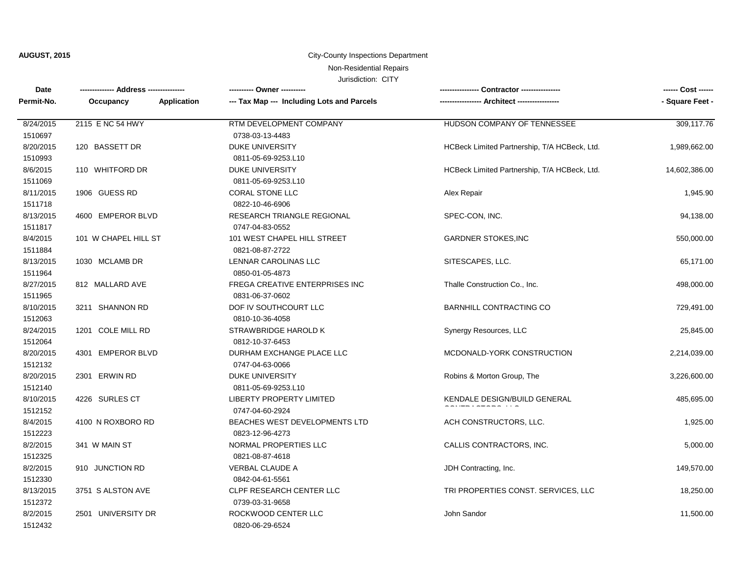## **AUGUST, 2015 City-County Inspections Department**

# Non-Residential Repairs

| Date       | -------------- Address --------------- | ---------- Owner ----------                | Contractor ---------------                   | ------ Cost ------ |
|------------|----------------------------------------|--------------------------------------------|----------------------------------------------|--------------------|
| Permit-No. | Application<br>Occupancy               | --- Tax Map --- Including Lots and Parcels | - Architect ------------                     | - Square Feet -    |
| 8/24/2015  | 2115 E NC 54 HWY                       | RTM DEVELOPMENT COMPANY                    | HUDSON COMPANY OF TENNESSEE                  | 309,117.76         |
| 1510697    |                                        | 0738-03-13-4483                            |                                              |                    |
| 8/20/2015  | 120 BASSETT DR                         | <b>DUKE UNIVERSITY</b>                     | HCBeck Limited Partnership, T/A HCBeck, Ltd. | 1,989,662.00       |
| 1510993    |                                        | 0811-05-69-9253.L10                        |                                              |                    |
| 8/6/2015   | 110 WHITFORD DR                        | <b>DUKE UNIVERSITY</b>                     | HCBeck Limited Partnership, T/A HCBeck, Ltd. | 14,602,386.00      |
| 1511069    |                                        | 0811-05-69-9253.L10                        |                                              |                    |
| 8/11/2015  | 1906 GUESS RD                          | <b>CORAL STONE LLC</b>                     | Alex Repair                                  | 1,945.90           |
| 1511718    |                                        | 0822-10-46-6906                            |                                              |                    |
| 8/13/2015  | 4600 EMPEROR BLVD                      | RESEARCH TRIANGLE REGIONAL                 | SPEC-CON, INC.                               | 94,138.00          |
| 1511817    |                                        | 0747-04-83-0552                            |                                              |                    |
| 8/4/2015   | 101 W CHAPEL HILL ST                   | 101 WEST CHAPEL HILL STREET                | <b>GARDNER STOKES, INC</b>                   | 550,000.00         |
| 1511884    |                                        | 0821-08-87-2722                            |                                              |                    |
| 8/13/2015  | 1030 MCLAMB DR                         | LENNAR CAROLINAS LLC                       | SITESCAPES, LLC.                             | 65,171.00          |
| 1511964    |                                        | 0850-01-05-4873                            |                                              |                    |
| 8/27/2015  | 812 MALLARD AVE                        | FREGA CREATIVE ENTERPRISES INC             | Thalle Construction Co., Inc.                | 498,000.00         |
| 1511965    |                                        | 0831-06-37-0602                            |                                              |                    |
| 8/10/2015  | 3211 SHANNON RD                        | DOF IV SOUTHCOURT LLC                      | <b>BARNHILL CONTRACTING CO</b>               | 729,491.00         |
| 1512063    |                                        | 0810-10-36-4058                            |                                              |                    |
| 8/24/2015  | 1201 COLE MILL RD                      | STRAWBRIDGE HAROLD K                       | Synergy Resources, LLC                       | 25,845.00          |
| 1512064    |                                        | 0812-10-37-6453                            |                                              |                    |
| 8/20/2015  | 4301 EMPEROR BLVD                      | DURHAM EXCHANGE PLACE LLC                  | MCDONALD-YORK CONSTRUCTION                   | 2,214,039.00       |
| 1512132    |                                        | 0747-04-63-0066                            |                                              |                    |
| 8/20/2015  | 2301 ERWIN RD                          | <b>DUKE UNIVERSITY</b>                     | Robins & Morton Group, The                   | 3,226,600.00       |
| 1512140    |                                        | 0811-05-69-9253.L10                        |                                              |                    |
| 8/10/2015  | 4226 SURLES CT                         | <b>LIBERTY PROPERTY LIMITED</b>            | KENDALE DESIGN/BUILD GENERAL                 | 485,695.00         |
| 1512152    |                                        | 0747-04-60-2924                            |                                              |                    |
| 8/4/2015   | 4100 N ROXBORO RD                      | BEACHES WEST DEVELOPMENTS LTD              | ACH CONSTRUCTORS, LLC.                       | 1,925.00           |
| 1512223    |                                        | 0823-12-96-4273                            |                                              |                    |
| 8/2/2015   | 341 W MAIN ST                          | NORMAL PROPERTIES LLC                      | CALLIS CONTRACTORS, INC.                     | 5,000.00           |
| 1512325    |                                        | 0821-08-87-4618                            |                                              |                    |
| 8/2/2015   | 910 JUNCTION RD                        | VERBAL CLAUDE A                            | JDH Contracting, Inc.                        | 149,570.00         |
| 1512330    |                                        | 0842-04-61-5561                            |                                              |                    |
| 8/13/2015  | 3751 S ALSTON AVE                      | CLPF RESEARCH CENTER LLC                   | TRI PROPERTIES CONST. SERVICES, LLC          | 18,250.00          |
| 1512372    |                                        | 0739-03-31-9658                            |                                              |                    |
| 8/2/2015   | 2501 UNIVERSITY DR                     | ROCKWOOD CENTER LLC                        | John Sandor                                  | 11,500.00          |
| 1512432    |                                        | 0820-06-29-6524                            |                                              |                    |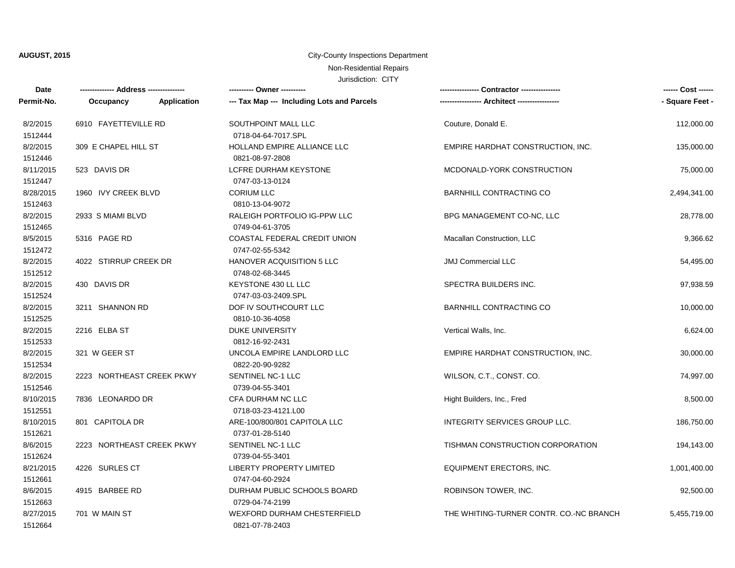## **AUGUST, 2015 City-County Inspections Department**

# Non-Residential Repairs

| Date                 |                                                                   |             | ---------- Owner ----------                        |                                         | ------ Cost ------ |
|----------------------|-------------------------------------------------------------------|-------------|----------------------------------------------------|-----------------------------------------|--------------------|
| Permit-No.           | Occupancy                                                         | Application | --- Tax Map --- Including Lots and Parcels         |                                         | - Square Feet -    |
| 8/2/2015<br>1512444  | 6910 FAYETTEVILLE RD                                              |             | SOUTHPOINT MALL LLC<br>0718-04-64-7017.SPL         | Couture, Donald E.                      | 112,000.00         |
| 8/2/2015<br>1512446  | 309 E CHAPEL HILL ST                                              |             | HOLLAND EMPIRE ALLIANCE LLC<br>0821-08-97-2808     | EMPIRE HARDHAT CONSTRUCTION, INC.       | 135,000.00         |
| 8/11/2015<br>1512447 | 523 DAVIS DR                                                      |             | LCFRE DURHAM KEYSTONE<br>0747-03-13-0124           | MCDONALD-YORK CONSTRUCTION              | 75,000.00          |
| 8/28/2015<br>1512463 | 1960 IVY CREEK BLVD                                               |             | <b>CORIUM LLC</b><br>0810-13-04-9072               | <b>BARNHILL CONTRACTING CO</b>          | 2,494,341.00       |
| 8/2/2015<br>1512465  | 2933 S MIAMI BLVD                                                 |             | RALEIGH PORTFOLIO IG-PPW LLC<br>0749-04-61-3705    | BPG MANAGEMENT CO-NC, LLC               | 28,778.00          |
| 8/5/2015<br>1512472  | 5316 PAGE RD                                                      |             | COASTAL FEDERAL CREDIT UNION<br>0747-02-55-5342    | Macallan Construction, LLC              | 9,366.62           |
| 8/2/2015<br>1512512  | 4022 STIRRUP CREEK DR                                             |             | HANOVER ACQUISITION 5 LLC<br>0748-02-68-3445       | <b>JMJ Commercial LLC</b>               | 54,495.00          |
| 8/2/2015<br>1512524  | 430 DAVIS DR                                                      |             | KEYSTONE 430 LL LLC<br>0747-03-03-2409.SPL         | SPECTRA BUILDERS INC.                   | 97,938.59          |
| 8/2/2015<br>1512525  | 3211 SHANNON RD                                                   |             | DOF IV SOUTHCOURT LLC<br>0810-10-36-4058           | <b>BARNHILL CONTRACTING CO</b>          | 10,000.00          |
| 8/2/2015<br>1512533  | 2216 ELBA ST                                                      |             | DUKE UNIVERSITY<br>0812-16-92-2431                 | Vertical Walls, Inc.                    | 6,624.00           |
| 8/2/2015<br>1512534  | 321 W GEER ST                                                     |             | UNCOLA EMPIRE LANDLORD LLC<br>0822-20-90-9282      | EMPIRE HARDHAT CONSTRUCTION, INC.       | 30,000.00          |
| 8/2/2015<br>1512546  | 2223 NORTHEAST CREEK PKWY                                         |             | SENTINEL NC-1 LLC<br>0739-04-55-3401               | WILSON, C.T., CONST. CO.                | 74,997.00          |
| 8/10/2015<br>1512551 | 7836 LEONARDO DR                                                  |             | CFA DURHAM NC LLC<br>0718-03-23-4121.L00           | Hight Builders, Inc., Fred              | 8,500.00           |
| 8/10/2015<br>1512621 | 801 CAPITOLA DR                                                   |             | ARE-100/800/801 CAPITOLA LLC<br>0737-01-28-5140    | INTEGRITY SERVICES GROUP LLC.           | 186,750.00         |
| 8/6/2015<br>1512624  | 2223 NORTHEAST CREEK PKWY<br>SENTINEL NC-1 LLC<br>0739-04-55-3401 |             |                                                    | TISHMAN CONSTRUCTION CORPORATION        | 194,143.00         |
| 8/21/2015<br>1512661 | 4226 SURLES CT                                                    |             | <b>LIBERTY PROPERTY LIMITED</b><br>0747-04-60-2924 | EQUIPMENT ERECTORS, INC.                | 1,001,400.00       |
| 8/6/2015<br>1512663  | 4915 BARBEE RD                                                    |             | DURHAM PUBLIC SCHOOLS BOARD<br>0729-04-74-2199     | ROBINSON TOWER, INC.                    | 92,500.00          |
| 8/27/2015<br>1512664 | 701 W MAIN ST                                                     |             | WEXFORD DURHAM CHESTERFIELD<br>0821-07-78-2403     | THE WHITING-TURNER CONTR. CO.-NC BRANCH | 5,455,719.00       |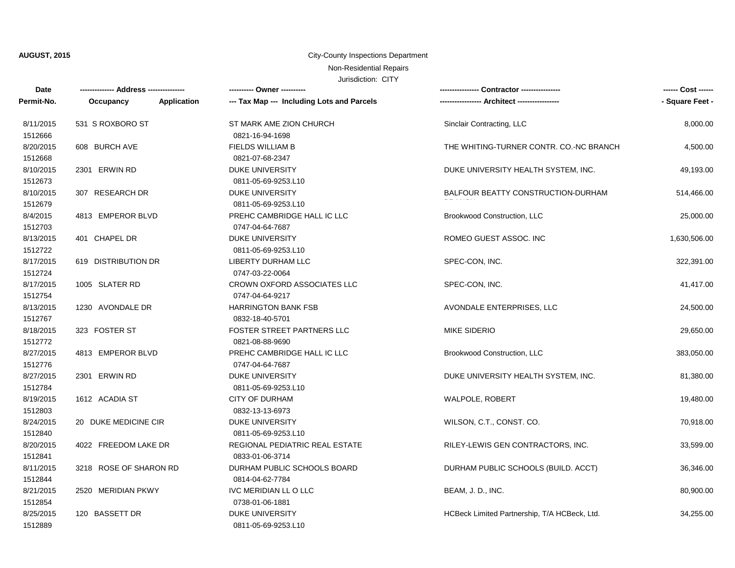## **AUGUST, 2015 City-County Inspections Department**

# Non-Residential Repairs

| Date       | -------------- Address --------------- | ---------- Owner ----------                |                                              | ------ Cost ------ |
|------------|----------------------------------------|--------------------------------------------|----------------------------------------------|--------------------|
| Permit-No. | Application<br>Occupancy               | --- Tax Map --- Including Lots and Parcels |                                              | - Square Feet -    |
| 8/11/2015  | 531 S ROXBORO ST                       | ST MARK AME ZION CHURCH                    | Sinclair Contracting, LLC                    | 8,000.00           |
| 1512666    |                                        | 0821-16-94-1698                            |                                              |                    |
| 8/20/2015  | 608 BURCH AVE                          | <b>FIELDS WILLIAM B</b>                    | THE WHITING-TURNER CONTR. CO.-NC BRANCH      | 4,500.00           |
| 1512668    |                                        | 0821-07-68-2347                            |                                              |                    |
| 8/10/2015  | 2301 ERWIN RD                          | <b>DUKE UNIVERSITY</b>                     | DUKE UNIVERSITY HEALTH SYSTEM, INC.          | 49,193.00          |
| 1512673    |                                        | 0811-05-69-9253.L10                        |                                              |                    |
| 8/10/2015  | 307 RESEARCH DR                        | <b>DUKE UNIVERSITY</b>                     | BALFOUR BEATTY CONSTRUCTION-DURHAM           | 514,466.00         |
| 1512679    |                                        | 0811-05-69-9253.L10                        |                                              |                    |
| 8/4/2015   | 4813 EMPEROR BLVD                      | PREHC CAMBRIDGE HALL IC LLC                | Brookwood Construction, LLC                  | 25,000.00          |
| 1512703    |                                        | 0747-04-64-7687                            |                                              |                    |
| 8/13/2015  | 401 CHAPEL DR                          | DUKE UNIVERSITY                            | ROMEO GUEST ASSOC. INC                       | 1,630,506.00       |
| 1512722    |                                        | 0811-05-69-9253.L10                        |                                              |                    |
| 8/17/2015  | 619 DISTRIBUTION DR                    | LIBERTY DURHAM LLC                         | SPEC-CON, INC.                               | 322,391.00         |
| 1512724    |                                        | 0747-03-22-0064                            |                                              |                    |
| 8/17/2015  | 1005 SLATER RD                         | CROWN OXFORD ASSOCIATES LLC                | SPEC-CON, INC.                               | 41,417.00          |
| 1512754    |                                        | 0747-04-64-9217                            |                                              |                    |
| 8/13/2015  | 1230 AVONDALE DR                       | <b>HARRINGTON BANK FSB</b>                 | AVONDALE ENTERPRISES, LLC                    | 24,500.00          |
| 1512767    |                                        | 0832-18-40-5701                            |                                              |                    |
| 8/18/2015  | 323 FOSTER ST                          | <b>FOSTER STREET PARTNERS LLC</b>          | <b>MIKE SIDERIO</b>                          | 29,650.00          |
| 1512772    |                                        | 0821-08-88-9690                            |                                              |                    |
| 8/27/2015  | 4813 EMPEROR BLVD                      | PREHC CAMBRIDGE HALL IC LLC                | Brookwood Construction, LLC                  | 383,050.00         |
| 1512776    |                                        | 0747-04-64-7687                            |                                              |                    |
| 8/27/2015  | 2301 ERWIN RD                          | <b>DUKE UNIVERSITY</b>                     | DUKE UNIVERSITY HEALTH SYSTEM, INC.          | 81,380.00          |
| 1512784    |                                        | 0811-05-69-9253.L10                        |                                              |                    |
| 8/19/2015  | 1612 ACADIA ST                         | <b>CITY OF DURHAM</b>                      | WALPOLE, ROBERT                              | 19,480.00          |
| 1512803    |                                        | 0832-13-13-6973                            |                                              |                    |
| 8/24/2015  | 20 DUKE MEDICINE CIR                   | <b>DUKE UNIVERSITY</b>                     | WILSON, C.T., CONST. CO.                     | 70,918.00          |
| 1512840    |                                        | 0811-05-69-9253.L10                        |                                              |                    |
| 8/20/2015  | 4022 FREEDOM LAKE DR                   | REGIONAL PEDIATRIC REAL ESTATE             | RILEY-LEWIS GEN CONTRACTORS, INC.            | 33,599.00          |
| 1512841    |                                        | 0833-01-06-3714                            |                                              |                    |
| 8/11/2015  | 3218 ROSE OF SHARON RD                 | DURHAM PUBLIC SCHOOLS BOARD                | DURHAM PUBLIC SCHOOLS (BUILD. ACCT)          | 36,346.00          |
| 1512844    |                                        | 0814-04-62-7784                            |                                              |                    |
| 8/21/2015  | 2520 MERIDIAN PKWY                     | IVC MERIDIAN LL O LLC                      | BEAM, J. D., INC.                            | 80,900.00          |
| 1512854    |                                        | 0738-01-06-1881                            |                                              |                    |
| 8/25/2015  | 120 BASSETT DR                         | <b>DUKE UNIVERSITY</b>                     | HCBeck Limited Partnership, T/A HCBeck, Ltd. | 34,255.00          |
| 1512889    |                                        | 0811-05-69-9253.L10                        |                                              |                    |